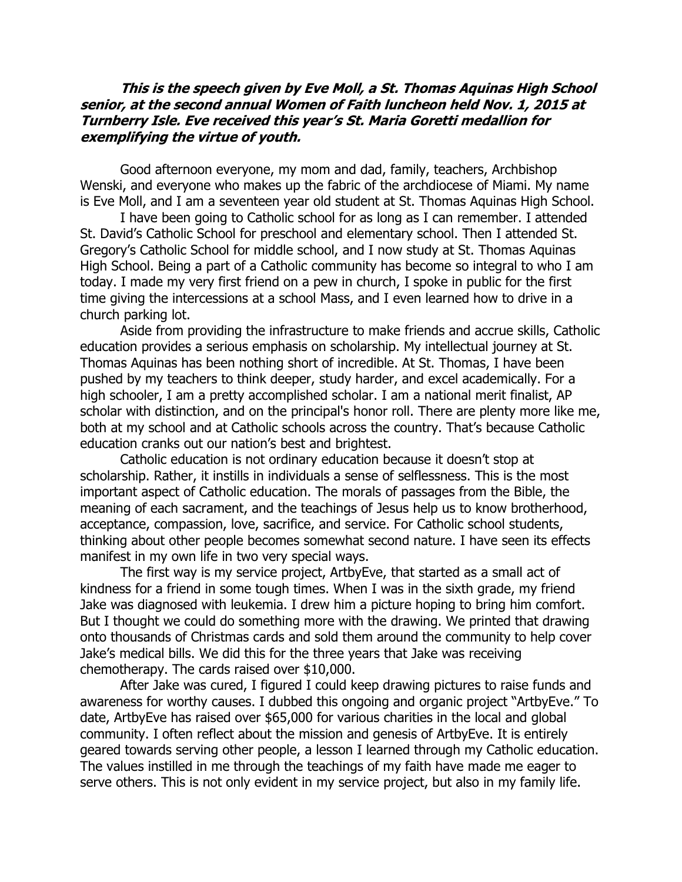## **This is the speech given by Eve Moll, a St. Thomas Aquinas High School senior, at the second annual Women of Faith luncheon held Nov. 1, 2015 at Turnberry Isle. Eve received this year's St. Maria Goretti medallion for exemplifying the virtue of youth.**

Good afternoon everyone, my mom and dad, family, teachers, Archbishop Wenski, and everyone who makes up the fabric of the archdiocese of Miami. My name is Eve Moll, and I am a seventeen year old student at St. Thomas Aquinas High School.

I have been going to Catholic school for as long as I can remember. I attended St. David's Catholic School for preschool and elementary school. Then I attended St. Gregory's Catholic School for middle school, and I now study at St. Thomas Aquinas High School. Being a part of a Catholic community has become so integral to who I am today. I made my very first friend on a pew in church, I spoke in public for the first time giving the intercessions at a school Mass, and I even learned how to drive in a church parking lot.

Aside from providing the infrastructure to make friends and accrue skills, Catholic education provides a serious emphasis on scholarship. My intellectual journey at St. Thomas Aquinas has been nothing short of incredible. At St. Thomas, I have been pushed by my teachers to think deeper, study harder, and excel academically. For a high schooler, I am a pretty accomplished scholar. I am a national merit finalist, AP scholar with distinction, and on the principal's honor roll. There are plenty more like me, both at my school and at Catholic schools across the country. That's because Catholic education cranks out our nation's best and brightest.

Catholic education is not ordinary education because it doesn't stop at scholarship. Rather, it instills in individuals a sense of selflessness. This is the most important aspect of Catholic education. The morals of passages from the Bible, the meaning of each sacrament, and the teachings of Jesus help us to know brotherhood, acceptance, compassion, love, sacrifice, and service. For Catholic school students, thinking about other people becomes somewhat second nature. I have seen its effects manifest in my own life in two very special ways.

The first way is my service project, ArtbyEve, that started as a small act of kindness for a friend in some tough times. When I was in the sixth grade, my friend Jake was diagnosed with leukemia. I drew him a picture hoping to bring him comfort. But I thought we could do something more with the drawing. We printed that drawing onto thousands of Christmas cards and sold them around the community to help cover Jake's medical bills. We did this for the three years that Jake was receiving chemotherapy. The cards raised over \$10,000.

After Jake was cured, I figured I could keep drawing pictures to raise funds and awareness for worthy causes. I dubbed this ongoing and organic project "ArtbyEve." To date, ArtbyEve has raised over \$65,000 for various charities in the local and global community. I often reflect about the mission and genesis of ArtbyEve. It is entirely geared towards serving other people, a lesson I learned through my Catholic education. The values instilled in me through the teachings of my faith have made me eager to serve others. This is not only evident in my service project, but also in my family life.